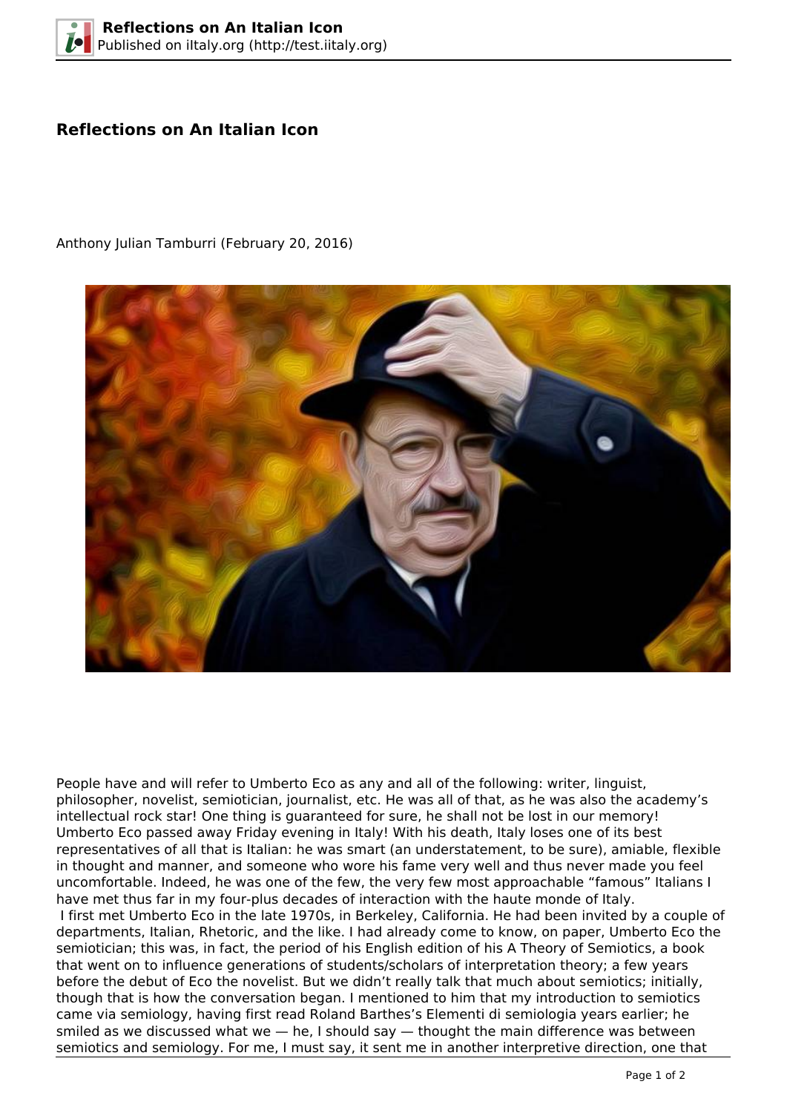## **Reflections on An Italian Icon**



Anthony Julian Tamburri (February 20, 2016)

People have and will refer to Umberto Eco as any and all of the following: writer, linguist, philosopher, novelist, semiotician, journalist, etc. He was all of that, as he was also the academy's intellectual rock star! One thing is guaranteed for sure, he shall not be lost in our memory! Umberto Eco passed away Friday evening in Italy! With his death, Italy loses one of its best representatives of all that is Italian: he was smart (an understatement, to be sure), amiable, flexible in thought and manner, and someone who wore his fame very well and thus never made you feel uncomfortable. Indeed, he was one of the few, the very few most approachable "famous" Italians I have met thus far in my four-plus decades of interaction with the haute monde of Italy. I first met Umberto Eco in the late 1970s, in Berkeley, California. He had been invited by a couple of departments, Italian, Rhetoric, and the like. I had already come to know, on paper, Umberto Eco the semiotician; this was, in fact, the period of his English edition of his A Theory of Semiotics, a book that went on to influence generations of students/scholars of interpretation theory; a few years before the debut of Eco the novelist. But we didn't really talk that much about semiotics; initially, though that is how the conversation began. I mentioned to him that my introduction to semiotics came via semiology, having first read Roland Barthes's Elementi di semiologia years earlier; he smiled as we discussed what we - he, I should say - thought the main difference was between semiotics and semiology. For me, I must say, it sent me in another interpretive direction, one that